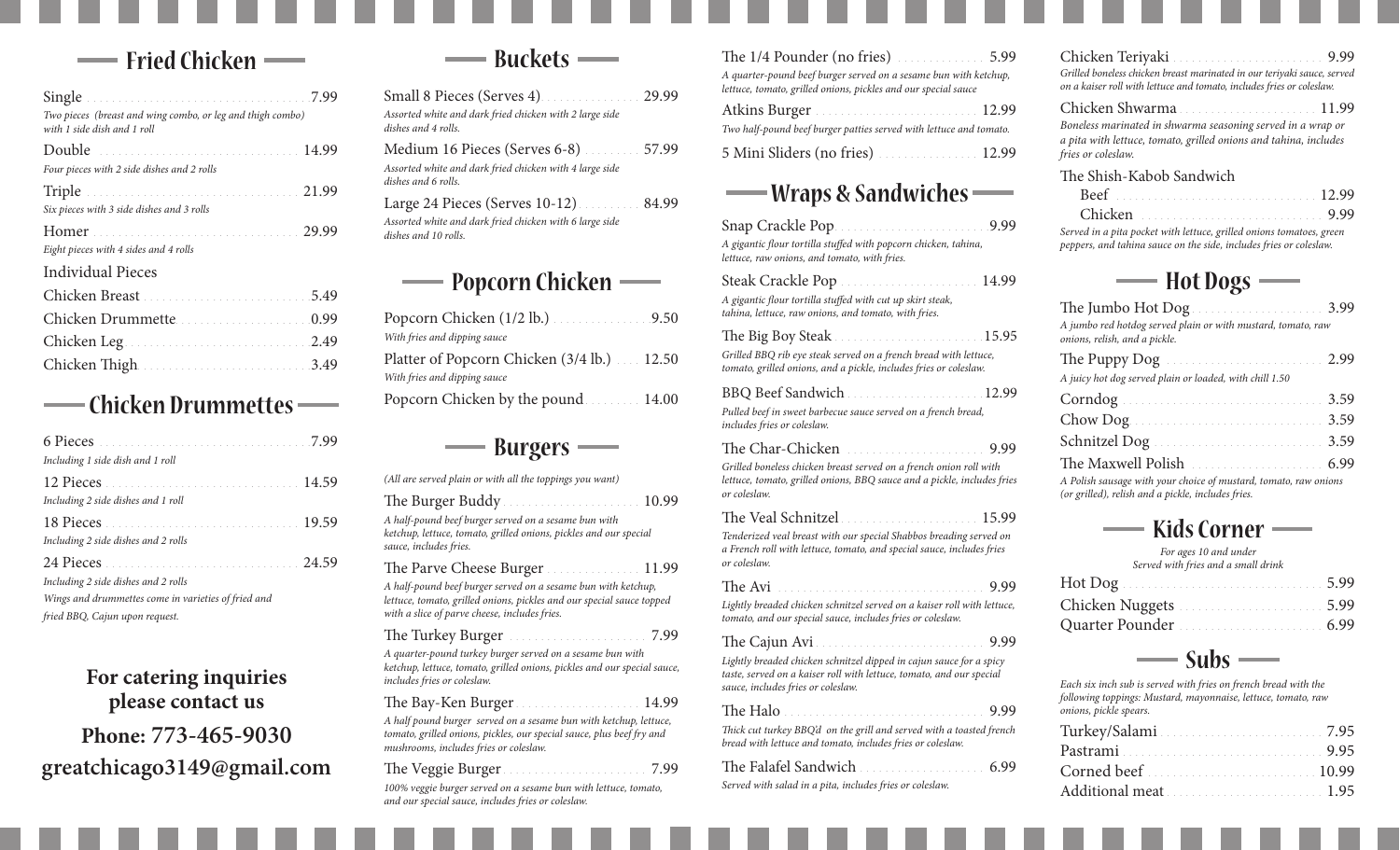## **Chicken Fried**

| Two pieces (breast and wing combo, or leg and thigh combo)<br>with 1 side dish and 1 roll |  |
|-------------------------------------------------------------------------------------------|--|
| Double                                                                                    |  |
| Four pieces with 2 side dishes and 2 rolls                                                |  |
|                                                                                           |  |
| Six pieces with 3 side dishes and 3 rolls                                                 |  |
|                                                                                           |  |
| Eight pieces with 4 sides and 4 rolls                                                     |  |
| <b>Individual Pieces</b>                                                                  |  |
|                                                                                           |  |
| Chicken Drummette                                                                         |  |
|                                                                                           |  |
| Chicken Thigh                                                                             |  |

#### - Chicken Drummettes - $\sim$

| Including 1 side dish and 1 roll                    |  |
|-----------------------------------------------------|--|
|                                                     |  |
| Including 2 side dishes and 1 roll                  |  |
|                                                     |  |
| Including 2 side dishes and 2 rolls                 |  |
|                                                     |  |
| Including 2 side dishes and 2 rolls                 |  |
| Wings and drummettes come in varieties of fried and |  |
| fried BBQ, Cajun upon request.                      |  |

# For catering inquiries please contact us **Phone: 773-465-9030 com.gmail@3149greatchicago**



| Small 8 Pieces (Serves 4) 29.99<br>Assorted white and dark fried chicken with 2 large side<br>dishes and 4 rolls.                |  |  |
|----------------------------------------------------------------------------------------------------------------------------------|--|--|
| Medium 16 Pieces (Serves 6-8) 30.000.000 57.99<br>Assorted white and dark fried chicken with 4 large side<br>dishes and 6 rolls. |  |  |
| Assorted white and dark fried chicken with 6 large side<br>dishes and 10 rolls.                                                  |  |  |
| <b>Popcorn Chicken</b>                                                                                                           |  |  |

| Popcorn Chicken $(1/2$ lb.) $\ldots$ 9.50  |  |
|--------------------------------------------|--|
| With fries and dipping sauce               |  |
| Platter of Popcorn Chicken (3/4 lb.) 12.50 |  |
| With fries and dipping sauce               |  |
| Popcorn Chicken by the pound 14.00         |  |
|                                            |  |

### **-**Burgers –

| The $1/4$ Pounder (no fries) $\ldots$                            | 5.99 |
|------------------------------------------------------------------|------|
| A quarter-pound beef burger served on a sesame bun with ketchup, |      |
| lettuce, tomato, grilled onions, pickles and our special sauce   |      |

| Two half-pound beef burger patties served with lettuce and tomato. |  |
|--------------------------------------------------------------------|--|
|                                                                    |  |

#### 5 Mini Sliders (no fries) **Superintendent** 12.99

## **- Wraps & Sandwiches -**

| Snap Crackle Pop<br>9.99<br>A gigantic flour tortilla stuffed with popcorn chicken, tahina,<br>lettuce, raw onions, and tomato, with fries.                                                |
|--------------------------------------------------------------------------------------------------------------------------------------------------------------------------------------------|
| A gigantic flour tortilla stuffed with cut up skirt steak,<br>tahina, lettuce, raw onions, and tomato, with fries.                                                                         |
| Grilled BBQ rib eye steak served on a french bread with lettuce,<br>tomato, grilled onions, and a pickle, includes fries or coleslaw.                                                      |
| BBQ Beef Sandwich<br>12.99<br>Pulled beef in sweet barbecue sauce served on a french bread,<br>includes fries or coleslaw.                                                                 |
| The Char-Chicken<br>9.99<br>Grilled boneless chicken breast served on a french onion roll with<br>lettuce, tomato, grilled onions, BBQ sauce and a pickle, includes fries<br>or coleslaw.  |
| The Veal Schnitzel<br>15.99<br>Tenderized veal breast with our special Shabbos breading served on<br>a French roll with lettuce, tomato, and special sauce, includes fries<br>or coleslaw. |
| The Avi<br>9.99<br>Lightly breaded chicken schnitzel served on a kaiser roll with lettuce,<br>tomato, and our special sauce, includes fries or coleslaw.                                   |
| 9.99<br>Lightly breaded chicken schnitzel dipped in cajun sauce for a spicy<br>taste, served on a kaiser roll with lettuce, tomato, and our special<br>sauce, includes fries or coleslaw.  |

9.99 Halo The *Thick cut turkey BBQ'd on the grill and served with a toasted french bread with lettuce and tomato, includes fries or coleslaw.* 

| The Falafel Sandwich                                     | 6.99 |
|----------------------------------------------------------|------|
| Served with salad in a pita, includes fries or coleslaw. |      |

9.99 Teriyaki Chicken *Grilled boneless chicken breast marinated in our teriyaki sauce, served on a kaiser roll with lettuce and tomato, includes fries or coleslaw.* 

#### Chicken Shwarma Chicago 2011 *Boneless marinated in shwarma seasoning served in a wrap or a pita with lettuce, tomato, grilled onions and tahina, includes fries* or coleslaw. The Shish-Kabob Sandwich

| Served in a pita pocket with lettuce, grilled onions tomatoes, green |  |
|----------------------------------------------------------------------|--|

*.coleslaw or fries includes ,side the on sauce tahina and ,peppers*

### **Dogs Hot**

| A jumbo red hotdog served plain or with mustard, tomato, raw<br>onions, relish, and a pickle.                   |  |
|-----------------------------------------------------------------------------------------------------------------|--|
|                                                                                                                 |  |
| A juicy hot dog served plain or loaded, with chill 1.50                                                         |  |
|                                                                                                                 |  |
|                                                                                                                 |  |
| Schnitzel Dog (and all and all all also see also see also see also see also see also see also see all all all a |  |
|                                                                                                                 |  |
| A Polish sausage with your choice of mustard, tomato, raw onions                                                |  |

 *onions raw ,tomato ,mustard of choice your with sausage Polish A (or grilled), relish and a pickle, includes fries.* 

### **Corner Kids**

For ages 10 and under *Served with fries and a small drink* 

| Chicken Nuggets |  |
|-----------------|--|
| Quarter Pounder |  |

# $\longrightarrow$  Subs  $\longrightarrow$

*Each six inch sub is served with fries on french bread with the following toppings: Mustard, mayonnaise, lettuce, tomato, raw*  $onions, pickle speakers.$ 

| Turkey/Salami                                                                                                   |  |
|-----------------------------------------------------------------------------------------------------------------|--|
| Pastrami                                                                                                        |  |
| Corned beef [11] Cornel beef and the cornel of the set of the set of the set of the set of the set of the set o |  |
| Additional meat                                                                                                 |  |